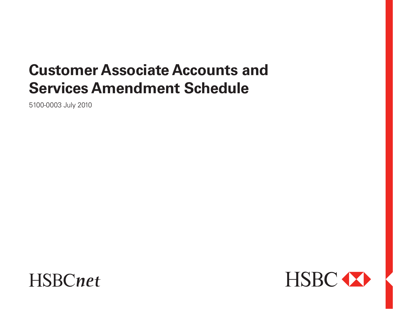# **Customer Associate Accounts and Services Amendment Schedule**

5100-0003 July 2010



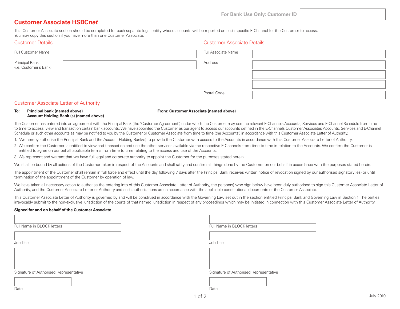**For Bank Use Only: Customer ID**

Customer Associate Details

# **Customer Associate HSBC***net*

Customer Details

This Customer Associate section should be completed for each separate legal entity whose accounts will be reported on each specific E-Channel for the Customer to access. You may copy this section if you have more than one Customer Associate.

| CUSTOFFIEL DETAILS                       | <b>CUSTOFFIEL ASSOCIATE DETAILS</b> |  |
|------------------------------------------|-------------------------------------|--|
| <b>Full Customer Name</b>                | Full Associate Name                 |  |
| Principal Bank<br>(i.e. Customer's Bank) | Address                             |  |
|                                          |                                     |  |
|                                          |                                     |  |
|                                          | Postal Code                         |  |

Postal Code

## Customer Associate Letter of Authority

### **To: Principal bank (named above) From: Customer Associate (named above) Account Holding Bank (s) (named above)**

The Customer has entered into an agreement with the Principal Bank (the 'Customer Agreement') under which the Customer may use the relevant E-Channels Accounts, Services and E-Channel Schedule from time to time to access, view and transact on certain bank accounts. We have appointed the Customer as our agent to access our accounts defined in the E-Channels Customer Associates Accounts, Services and E-Channel Schedule or such other accounts as may be notified to you by the Customer or Customer Associate from time to time (the 'Accounts') in accordance with this Customer Associate Letter of Authority.

1. We hereby authorise the Principal Bank and the Account Holding Bank(s) to provide the Customer with access to the Accounts in accordance with this Customer Associate Letter of Authority.

2. We confirm the Customer is entitled to view and transact on and use the other services available via the respective E-Channels from time to time in relation to the Accounts. We confirm the Customer is entitled to agree on our behalf applicable terms from time to time relating to the access and use of the Accounts.

3. We represent and warrant that we have full legal and corporate authority to appoint the Customer for the purposes stated herein.

We shall be bound by all actions of the Customer taken in respect of the Accounts and shall ratify and confirm all things done by the Customer on our behalf in accordance with the purposes stated herein.

The appointment of the Customer shall remain in full force and effect until the day following 7 days after the Principal Bank receives written notice of revocation signed by our authorised signatory(ies) or until termination of the appointment of the Customer by operation of law.

We have taken all necessary action to authorise the entering into of this Customer Associate Letter of Authority, the person(s) who sign below have been duly authorised to sign this Customer Associate Letter of Authority, and the Customer Associate Letter of Authority and such authorizations are in accordance with the applicable constitutional documents of the Customer Associate.

This Customer Associate Letter of Authority is governed by and will be construed in accordance with the Governing Law set out in the section entitled Principal Bank and Governing Law in Section 1. The parties irrevocably submit to the non-exclusive jurisdiction of the courts of that named jurisdiction in respect of any proceedings which may be initiated in connection with this Customer Associate Letter of Authority.

### **Signed for and on behalf of the Customer Associate.**

Full Name in BLOCK letters

Job Title

Signature of Authorised Representative

Full Name in BLOCK letters

Job Title



| Date |  |  |
|------|--|--|

Date